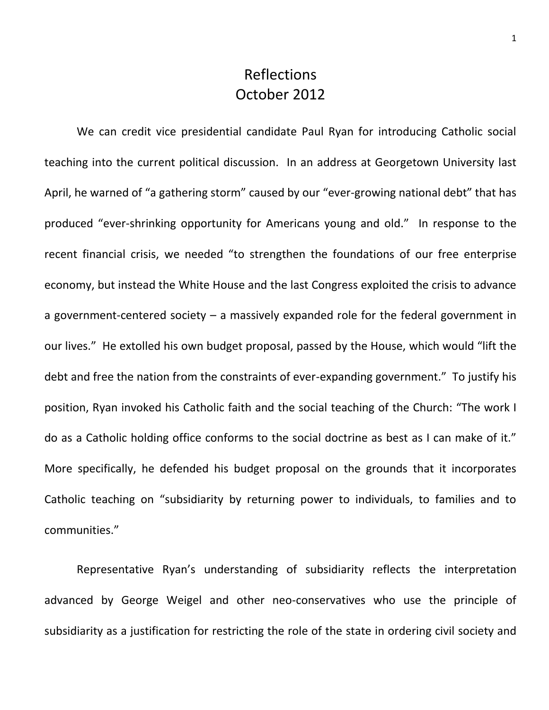## Reflections October 2012

We can credit vice presidential candidate Paul Ryan for introducing Catholic social teaching into the current political discussion. In an address at Georgetown University last April, he warned of "a gathering storm" caused by our "ever-growing national debt" that has produced "ever-shrinking opportunity for Americans young and old." In response to the recent financial crisis, we needed "to strengthen the foundations of our free enterprise economy, but instead the White House and the last Congress exploited the crisis to advance a government-centered society – a massively expanded role for the federal government in our lives." He extolled his own budget proposal, passed by the House, which would "lift the debt and free the nation from the constraints of ever-expanding government." To justify his position, Ryan invoked his Catholic faith and the social teaching of the Church: "The work I do as a Catholic holding office conforms to the social doctrine as best as I can make of it." More specifically, he defended his budget proposal on the grounds that it incorporates Catholic teaching on "subsidiarity by returning power to individuals, to families and to communities."

Representative Ryan's understanding of subsidiarity reflects the interpretation advanced by George Weigel and other neo-conservatives who use the principle of subsidiarity as a justification for restricting the role of the state in ordering civil society and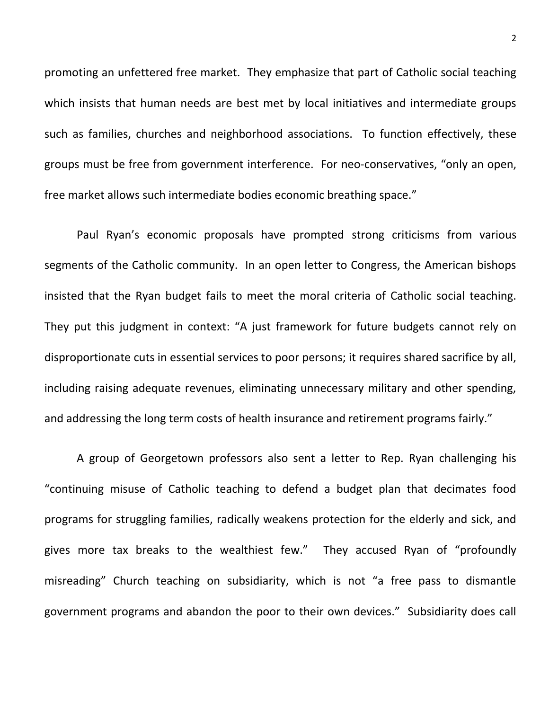promoting an unfettered free market. They emphasize that part of Catholic social teaching which insists that human needs are best met by local initiatives and intermediate groups such as families, churches and neighborhood associations. To function effectively, these groups must be free from government interference. For neo-conservatives, "only an open, free market allows such intermediate bodies economic breathing space."

Paul Ryan's economic proposals have prompted strong criticisms from various segments of the Catholic community. In an open letter to Congress, the American bishops insisted that the Ryan budget fails to meet the moral criteria of Catholic social teaching. They put this judgment in context: "A just framework for future budgets cannot rely on disproportionate cuts in essential services to poor persons; it requires shared sacrifice by all, including raising adequate revenues, eliminating unnecessary military and other spending, and addressing the long term costs of health insurance and retirement programs fairly."

A group of Georgetown professors also sent a letter to Rep. Ryan challenging his "continuing misuse of Catholic teaching to defend a budget plan that decimates food programs for struggling families, radically weakens protection for the elderly and sick, and gives more tax breaks to the wealthiest few." They accused Ryan of "profoundly misreading" Church teaching on subsidiarity, which is not "a free pass to dismantle government programs and abandon the poor to their own devices." Subsidiarity does call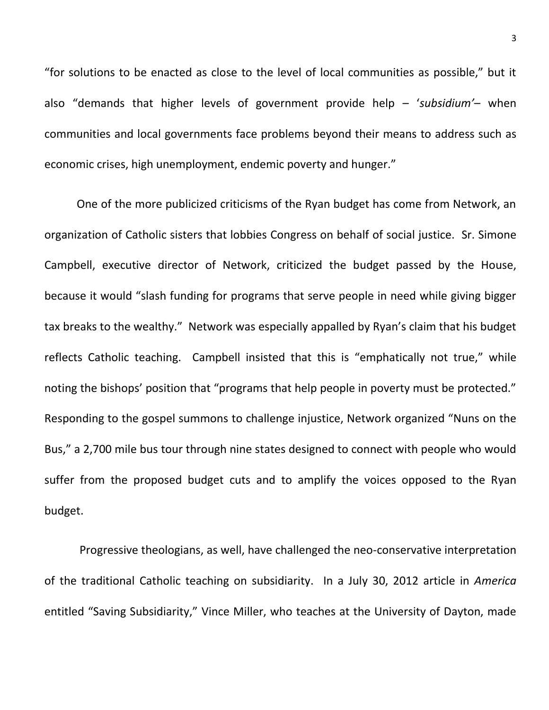"for solutions to be enacted as close to the level of local communities as possible," but it also "demands that higher levels of government provide help – '*subsidium'*– when communities and local governments face problems beyond their means to address such as economic crises, high unemployment, endemic poverty and hunger."

One of the more publicized criticisms of the Ryan budget has come from Network, an organization of Catholic sisters that lobbies Congress on behalf of social justice. Sr. Simone Campbell, executive director of Network, criticized the budget passed by the House, because it would "slash funding for programs that serve people in need while giving bigger tax breaks to the wealthy." Network was especially appalled by Ryan's claim that his budget reflects Catholic teaching. Campbell insisted that this is "emphatically not true," while noting the bishops' position that "programs that help people in poverty must be protected." Responding to the gospel summons to challenge injustice, Network organized "Nuns on the Bus," a 2,700 mile bus tour through nine states designed to connect with people who would suffer from the proposed budget cuts and to amplify the voices opposed to the Ryan budget.

Progressive theologians, as well, have challenged the neo-conservative interpretation of the traditional Catholic teaching on subsidiarity. In a July 30, 2012 article in *America* entitled "Saving Subsidiarity," Vince Miller, who teaches at the University of Dayton, made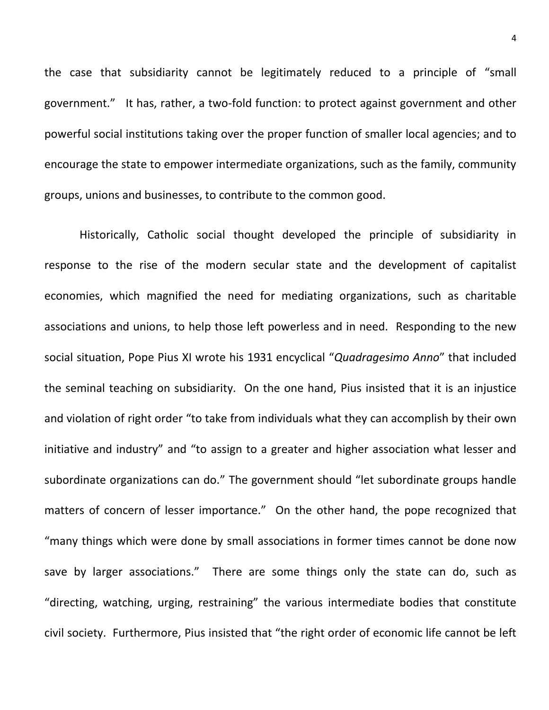the case that subsidiarity cannot be legitimately reduced to a principle of "small government." It has, rather, a two-fold function: to protect against government and other powerful social institutions taking over the proper function of smaller local agencies; and to encourage the state to empower intermediate organizations, such as the family, community groups, unions and businesses, to contribute to the common good.

Historically, Catholic social thought developed the principle of subsidiarity in response to the rise of the modern secular state and the development of capitalist economies, which magnified the need for mediating organizations, such as charitable associations and unions, to help those left powerless and in need. Responding to the new social situation, Pope Pius XI wrote his 1931 encyclical "*Quadragesimo Anno*" that included the seminal teaching on subsidiarity. On the one hand, Pius insisted that it is an injustice and violation of right order "to take from individuals what they can accomplish by their own initiative and industry" and "to assign to a greater and higher association what lesser and subordinate organizations can do." The government should "let subordinate groups handle matters of concern of lesser importance." On the other hand, the pope recognized that "many things which were done by small associations in former times cannot be done now save by larger associations." There are some things only the state can do, such as "directing, watching, urging, restraining" the various intermediate bodies that constitute civil society. Furthermore, Pius insisted that "the right order of economic life cannot be left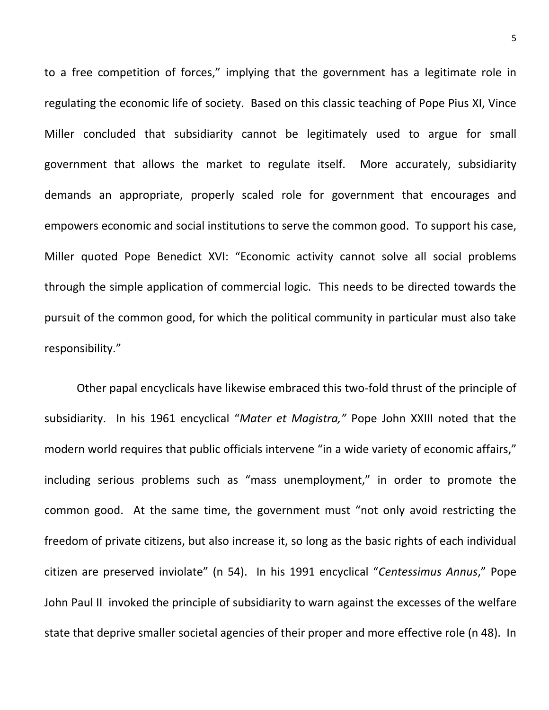to a free competition of forces," implying that the government has a legitimate role in regulating the economic life of society. Based on this classic teaching of Pope Pius XI, Vince Miller concluded that subsidiarity cannot be legitimately used to argue for small government that allows the market to regulate itself. More accurately, subsidiarity demands an appropriate, properly scaled role for government that encourages and empowers economic and social institutions to serve the common good. To support his case, Miller quoted Pope Benedict XVI: "Economic activity cannot solve all social problems through the simple application of commercial logic. This needs to be directed towards the pursuit of the common good, for which the political community in particular must also take responsibility."

Other papal encyclicals have likewise embraced this two-fold thrust of the principle of subsidiarity. In his 1961 encyclical "*Mater et Magistra,"* Pope John XXIII noted that the modern world requires that public officials intervene "in a wide variety of economic affairs," including serious problems such as "mass unemployment," in order to promote the common good. At the same time, the government must "not only avoid restricting the freedom of private citizens, but also increase it, so long as the basic rights of each individual citizen are preserved inviolate" (n 54). In his 1991 encyclical "*Centessimus Annus*," Pope John Paul II invoked the principle of subsidiarity to warn against the excesses of the welfare state that deprive smaller societal agencies of their proper and more effective role (n 48). In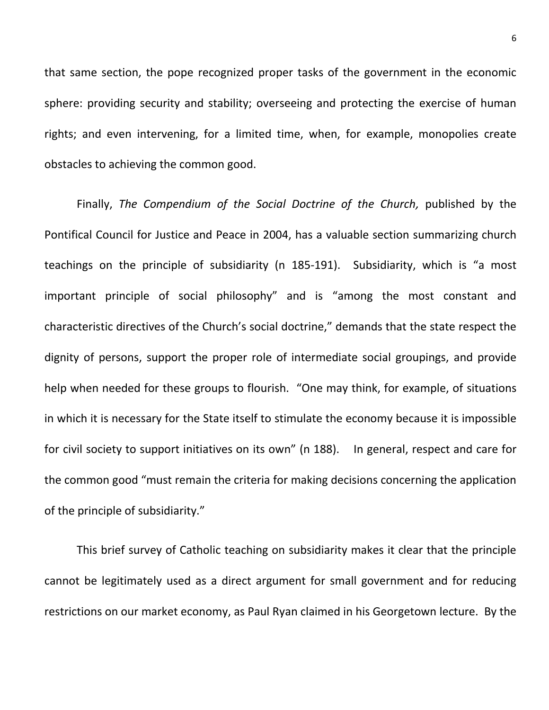that same section, the pope recognized proper tasks of the government in the economic sphere: providing security and stability; overseeing and protecting the exercise of human rights; and even intervening, for a limited time, when, for example, monopolies create obstacles to achieving the common good.

Finally, *The Compendium of the Social Doctrine of the Church,* published by the Pontifical Council for Justice and Peace in 2004, has a valuable section summarizing church teachings on the principle of subsidiarity (n 185-191). Subsidiarity, which is "a most important principle of social philosophy" and is "among the most constant and characteristic directives of the Church's social doctrine," demands that the state respect the dignity of persons, support the proper role of intermediate social groupings, and provide help when needed for these groups to flourish. "One may think, for example, of situations in which it is necessary for the State itself to stimulate the economy because it is impossible for civil society to support initiatives on its own" (n 188). In general, respect and care for the common good "must remain the criteria for making decisions concerning the application of the principle of subsidiarity."

This brief survey of Catholic teaching on subsidiarity makes it clear that the principle cannot be legitimately used as a direct argument for small government and for reducing restrictions on our market economy, as Paul Ryan claimed in his Georgetown lecture. By the